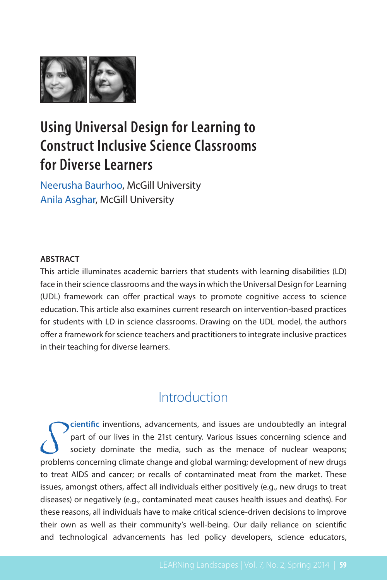

Neerusha Baurhoo, McGill University Anila Asghar, McGill University

### **ABSTRACT**

This article illuminates academic barriers that students with learning disabilities (LD) face in their science classrooms and the ways in which the Universal Design for Learning (UDL) framework can offer practical ways to promote cognitive access to science education. This article also examines current research on intervention-based practices for students with LD in science classrooms. Drawing on the UDL model, the authors offer a framework for science teachers and practitioners to integrate inclusive practices in their teaching for diverse learners.

## Introduction

**Solutific** inventions, advancements, and issues are undoubtedly an integral part of our lives in the 21st century. Various issues concerning science and society dominate the media, such as the menace of nuclear weapons; p part of our lives in the 21st century. Various issues concerning science and society dominate the media, such as the menace of nuclear weapons; problems concerning climate change and global warming; development of new drugs to treat AIDS and cancer; or recalls of contaminated meat from the market. These issues, amongst others, affect all individuals either positively (e.g., new drugs to treat diseases) or negatively (e.g., contaminated meat causes health issues and deaths). For these reasons, all individuals have to make critical science-driven decisions to improve their own as well as their community's well-being. Our daily reliance on scientific and technological advancements has led policy developers, science educators,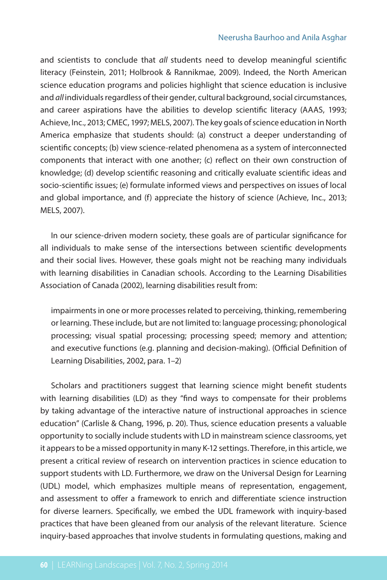#### Neerusha Baurhoo and Anila Asghar

and scientists to conclude that *all* students need to develop meaningful scientific literacy (Feinstein, 2011; Holbrook & Rannikmae, 2009). Indeed, the North American science education programs and policies highlight that science education is inclusive and *all* individuals regardless of their gender, cultural background, social circumstances, and career aspirations have the abilities to develop scientific literacy (AAAS, 1993; Achieve, Inc., 2013; CMEC, 1997; MELS, 2007). The key goals of science education in North America emphasize that students should: (a) construct a deeper understanding of scientific concepts; (b) view science-related phenomena as a system of interconnected components that interact with one another; (c) reflect on their own construction of knowledge; (d) develop scientific reasoning and critically evaluate scientific ideas and socio-scientific issues; (e) formulate informed views and perspectives on issues of local and global importance, and (f) appreciate the history of science (Achieve, Inc., 2013; MELS, 2007).

In our science-driven modern society, these goals are of particular significance for all individuals to make sense of the intersections between scientific developments and their social lives. However, these goals might not be reaching many individuals with learning disabilities in Canadian schools. According to the Learning Disabilities Association of Canada (2002), learning disabilities result from:

impairments in one or more processes related to perceiving, thinking, remembering or learning. These include, but are not limited to: language processing; phonological processing; visual spatial processing; processing speed; memory and attention; and executive functions (e.g. planning and decision-making). (Official Definition of Learning Disabilities, 2002, para. 1–2)

Scholars and practitioners suggest that learning science might benefit students with learning disabilities (LD) as they "find ways to compensate for their problems by taking advantage of the interactive nature of instructional approaches in science education" (Carlisle & Chang, 1996, p. 20). Thus, science education presents a valuable opportunity to socially include students with LD in mainstream science classrooms, yet it appears to be a missed opportunity in many K-12 settings. Therefore, in this article, we present a critical review of research on intervention practices in science education to support students with LD. Furthermore, we draw on the Universal Design for Learning (UDL) model, which emphasizes multiple means of representation, engagement, and assessment to offer a framework to enrich and differentiate science instruction for diverse learners. Specifically, we embed the UDL framework with inquiry-based practices that have been gleaned from our analysis of the relevant literature. Science inquiry-based approaches that involve students in formulating questions, making and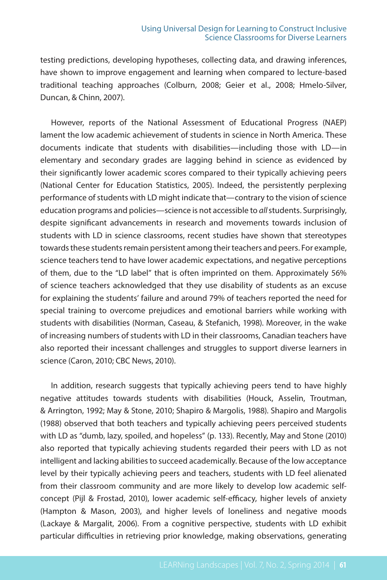testing predictions, developing hypotheses, collecting data, and drawing inferences, have shown to improve engagement and learning when compared to lecture-based traditional teaching approaches (Colburn, 2008; Geier et al., 2008; Hmelo-Silver, Duncan, & Chinn, 2007).

However, reports of the National Assessment of Educational Progress (NAEP) lament the low academic achievement of students in science in North America. These documents indicate that students with disabilities—including those with LD—in elementary and secondary grades are lagging behind in science as evidenced by their significantly lower academic scores compared to their typically achieving peers (National Center for Education Statistics, 2005). Indeed, the persistently perplexing performance of students with LD might indicate that—contrary to the vision of science education programs and policies—science is not accessible to *all* students. Surprisingly, despite significant advancements in research and movements towards inclusion of students with LD in science classrooms, recent studies have shown that stereotypes towards these students remain persistent among their teachers and peers. For example, science teachers tend to have lower academic expectations, and negative perceptions of them, due to the "LD label" that is often imprinted on them. Approximately 56% of science teachers acknowledged that they use disability of students as an excuse for explaining the students' failure and around 79% of teachers reported the need for special training to overcome prejudices and emotional barriers while working with students with disabilities (Norman, Caseau, & Stefanich, 1998). Moreover, in the wake of increasing numbers of students with LD in their classrooms, Canadian teachers have also reported their incessant challenges and struggles to support diverse learners in science (Caron, 2010; CBC News, 2010).

In addition, research suggests that typically achieving peers tend to have highly negative attitudes towards students with disabilities (Houck, Asselin, Troutman, & Arrington, 1992; May & Stone, 2010; Shapiro & Margolis, 1988). Shapiro and Margolis (1988) observed that both teachers and typically achieving peers perceived students with LD as "dumb, lazy, spoiled, and hopeless" (p. 133). Recently, May and Stone (2010) also reported that typically achieving students regarded their peers with LD as not intelligent and lacking abilities to succeed academically. Because of the low acceptance level by their typically achieving peers and teachers, students with LD feel alienated from their classroom community and are more likely to develop low academic selfconcept (Pijl & Frostad, 2010), lower academic self-efficacy, higher levels of anxiety (Hampton & Mason, 2003), and higher levels of loneliness and negative moods (Lackaye & Margalit, 2006). From a cognitive perspective, students with LD exhibit particular difficulties in retrieving prior knowledge, making observations, generating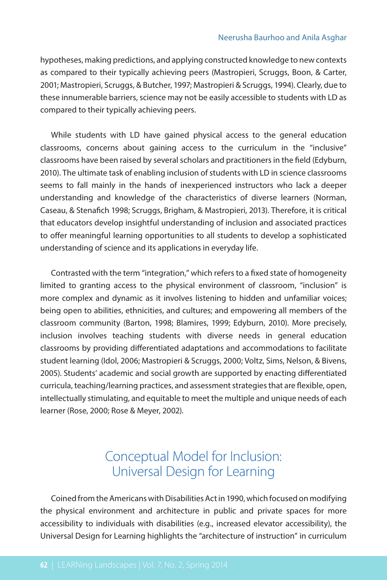#### Neerusha Baurhoo and Anila Asghar

hypotheses, making predictions, and applying constructed knowledge to new contexts as compared to their typically achieving peers (Mastropieri, Scruggs, Boon, & Carter, 2001; Mastropieri, Scruggs, & Butcher, 1997; Mastropieri & Scruggs, 1994). Clearly, due to these innumerable barriers, science may not be easily accessible to students with LD as compared to their typically achieving peers.

While students with LD have gained physical access to the general education classrooms, concerns about gaining access to the curriculum in the "inclusive" classrooms have been raised by several scholars and practitioners in the field (Edyburn, 2010). The ultimate task of enabling inclusion of students with LD in science classrooms seems to fall mainly in the hands of inexperienced instructors who lack a deeper understanding and knowledge of the characteristics of diverse learners (Norman, Caseau, & Stenafich 1998; Scruggs, Brigham, & Mastropieri, 2013). Therefore, it is critical that educators develop insightful understanding of inclusion and associated practices to offer meaningful learning opportunities to all students to develop a sophisticated understanding of science and its applications in everyday life.

Contrasted with the term "integration," which refers to a fixed state of homogeneity limited to granting access to the physical environment of classroom, "inclusion" is more complex and dynamic as it involves listening to hidden and unfamiliar voices; being open to abilities, ethnicities, and cultures; and empowering all members of the classroom community (Barton, 1998; Blamires, 1999; Edyburn, 2010). More precisely, inclusion involves teaching students with diverse needs in general education classrooms by providing differentiated adaptations and accommodations to facilitate student learning (Idol, 2006; Mastropieri & Scruggs, 2000; Voltz, Sims, Nelson, & Bivens, 2005). Students' academic and social growth are supported by enacting differentiated curricula, teaching/learning practices, and assessment strategies that are flexible, open, intellectually stimulating, and equitable to meet the multiple and unique needs of each learner (Rose, 2000; Rose & Meyer, 2002).

## Conceptual Model for Inclusion: Universal Design for Learning

Coined from the Americans with Disabilities Act in 1990, which focused on modifying the physical environment and architecture in public and private spaces for more accessibility to individuals with disabilities (e.g., increased elevator accessibility), the Universal Design for Learning highlights the "architecture of instruction" in curriculum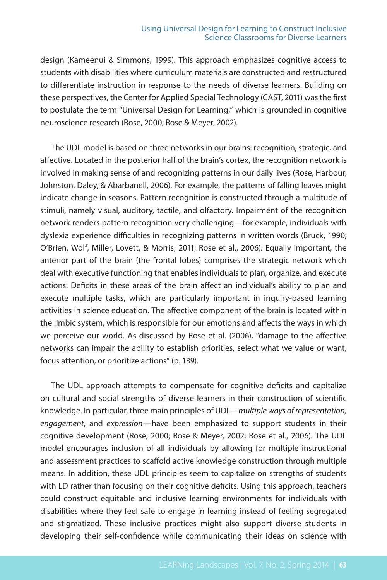design (Kameenui & Simmons, 1999). This approach emphasizes cognitive access to students with disabilities where curriculum materials are constructed and restructured to differentiate instruction in response to the needs of diverse learners. Building on these perspectives, the Center for Applied Special Technology (CAST, 2011) was the first to postulate the term "Universal Design for Learning," which is grounded in cognitive neuroscience research (Rose, 2000; Rose & Meyer, 2002).

The UDL model is based on three networks in our brains: recognition, strategic, and affective. Located in the posterior half of the brain's cortex, the recognition network is involved in making sense of and recognizing patterns in our daily lives (Rose, Harbour, Johnston, Daley, & Abarbanell, 2006). For example, the patterns of falling leaves might indicate change in seasons. Pattern recognition is constructed through a multitude of stimuli, namely visual, auditory, tactile, and olfactory. Impairment of the recognition network renders pattern recognition very challenging—for example, individuals with dyslexia experience difficulties in recognizing patterns in written words (Bruck, 1990; O'Brien, Wolf, Miller, Lovett, & Morris, 2011; Rose et al., 2006). Equally important, the anterior part of the brain (the frontal lobes) comprises the strategic network which deal with executive functioning that enables individuals to plan, organize, and execute actions. Deficits in these areas of the brain affect an individual's ability to plan and execute multiple tasks, which are particularly important in inquiry-based learning activities in science education. The affective component of the brain is located within the limbic system, which is responsible for our emotions and affects the ways in which we perceive our world. As discussed by Rose et al. (2006), "damage to the affective networks can impair the ability to establish priorities, select what we value or want, focus attention, or prioritize actions" (p. 139).

The UDL approach attempts to compensate for cognitive deficits and capitalize on cultural and social strengths of diverse learners in their construction of scientific knowledge. In particular, three main principles of UDL—*multiple ways of representation, engagement*, and *expression*—have been emphasized to support students in their cognitive development (Rose, 2000; Rose & Meyer, 2002; Rose et al., 2006). The UDL model encourages inclusion of all individuals by allowing for multiple instructional and assessment practices to scaffold active knowledge construction through multiple means. In addition, these UDL principles seem to capitalize on strengths of students with LD rather than focusing on their cognitive deficits. Using this approach, teachers could construct equitable and inclusive learning environments for individuals with disabilities where they feel safe to engage in learning instead of feeling segregated and stigmatized. These inclusive practices might also support diverse students in developing their self-confidence while communicating their ideas on science with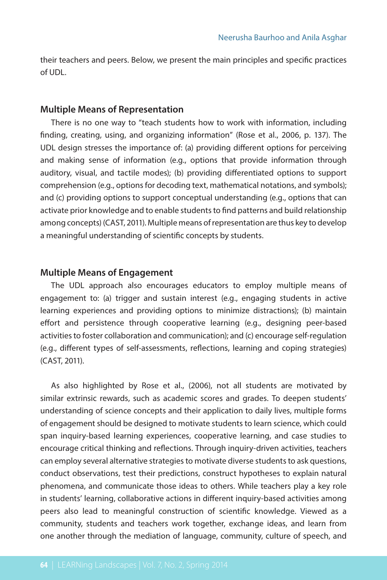their teachers and peers. Below, we present the main principles and specific practices of UDL.

### **Multiple Means of Representation**

There is no one way to "teach students how to work with information, including finding, creating, using, and organizing information" (Rose et al., 2006, p. 137). The UDL design stresses the importance of: (a) providing different options for perceiving and making sense of information (e.g., options that provide information through auditory, visual, and tactile modes); (b) providing differentiated options to support comprehension (e.g., options for decoding text, mathematical notations, and symbols); and (c) providing options to support conceptual understanding (e.g., options that can activate prior knowledge and to enable students to find patterns and build relationship among concepts) (CAST, 2011). Multiple means of representation are thus key to develop a meaningful understanding of scientific concepts by students.

#### **Multiple Means of Engagement**

The UDL approach also encourages educators to employ multiple means of engagement to: (a) trigger and sustain interest (e.g., engaging students in active learning experiences and providing options to minimize distractions); (b) maintain effort and persistence through cooperative learning (e.g., designing peer-based activities to foster collaboration and communication); and (c) encourage self-regulation (e.g., different types of self-assessments, reflections, learning and coping strategies) (CAST, 2011).

As also highlighted by Rose et al., (2006), not all students are motivated by similar extrinsic rewards, such as academic scores and grades. To deepen students' understanding of science concepts and their application to daily lives, multiple forms of engagement should be designed to motivate students to learn science, which could span inquiry-based learning experiences, cooperative learning, and case studies to encourage critical thinking and reflections. Through inquiry-driven activities, teachers can employ several alternative strategies to motivate diverse students to ask questions, conduct observations, test their predictions, construct hypotheses to explain natural phenomena, and communicate those ideas to others. While teachers play a key role in students' learning, collaborative actions in different inquiry-based activities among peers also lead to meaningful construction of scientific knowledge. Viewed as a community, students and teachers work together, exchange ideas, and learn from one another through the mediation of language, community, culture of speech, and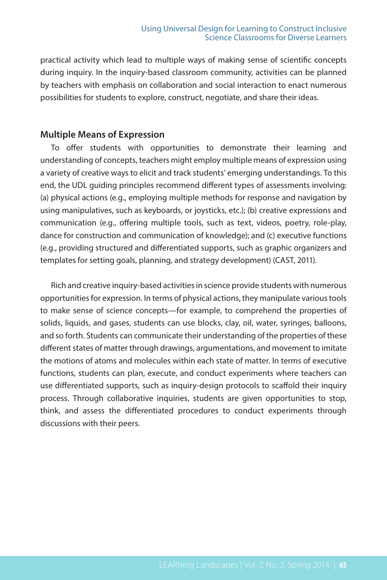practical activity which lead to multiple ways of making sense of scientific concepts during inquiry. In the inquiry-based classroom community, activities can be planned by teachers with emphasis on collaboration and social interaction to enact numerous possibilities for students to explore, construct, negotiate, and share their ideas.

## **Multiple Means of Expression**

To offer students with opportunities to demonstrate their learning and understanding of concepts, teachers might employ multiple means of expression using a variety of creative ways to elicit and track students' emerging understandings. To this end, the UDL guiding principles recommend different types of assessments involving: (a) physical actions (e.g., employing multiple methods for response and navigation by using manipulatives, such as keyboards, or joysticks, etc.); (b) creative expressions and communication (e.g., offering multiple tools, such as text, videos, poetry, role-play, dance for construction and communication of knowledge); and (c) executive functions (e.g., providing structured and differentiated supports, such as graphic organizers and templates for setting goals, planning, and strategy development) (CAST, 2011).

Rich and creative inquiry-based activities in science provide students with numerous opportunities for expression. In terms of physical actions, they manipulate various tools to make sense of science concepts—for example, to comprehend the properties of solids, liquids, and gases, students can use blocks, clay, oil, water, syringes, balloons, and so forth. Students can communicate their understanding of the properties of these different states of matter through drawings, argumentations, and movement to imitate the motions of atoms and molecules within each state of matter. In terms of executive functions, students can plan, execute, and conduct experiments where teachers can use differentiated supports, such as inquiry-design protocols to scaffold their inquiry process. Through collaborative inquiries, students are given opportunities to stop, think, and assess the differentiated procedures to conduct experiments through discussions with their peers.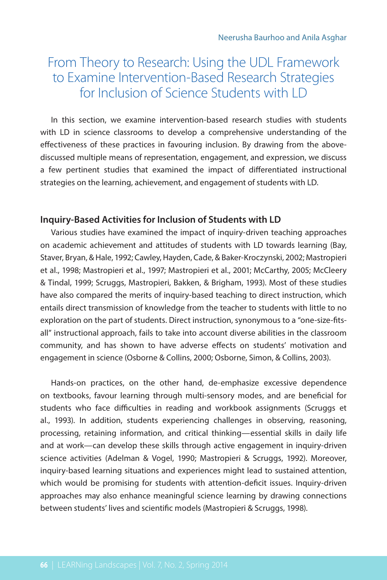## From Theory to Research: Using the UDL Framework to Examine Intervention-Based Research Strategies for Inclusion of Science Students with LD

In this section, we examine intervention-based research studies with students with LD in science classrooms to develop a comprehensive understanding of the effectiveness of these practices in favouring inclusion. By drawing from the abovediscussed multiple means of representation, engagement, and expression, we discuss a few pertinent studies that examined the impact of differentiated instructional strategies on the learning, achievement, and engagement of students with LD.

## **Inquiry-Based Activities for Inclusion of Students with LD**

Various studies have examined the impact of inquiry-driven teaching approaches on academic achievement and attitudes of students with LD towards learning (Bay, Staver, Bryan, & Hale, 1992; Cawley, Hayden, Cade, & Baker-Kroczynski, 2002; Mastropieri et al., 1998; Mastropieri et al., 1997; Mastropieri et al., 2001; McCarthy, 2005; McCleery & Tindal, 1999; Scruggs, Mastropieri, Bakken, & Brigham, 1993). Most of these studies have also compared the merits of inquiry-based teaching to direct instruction, which entails direct transmission of knowledge from the teacher to students with little to no exploration on the part of students. Direct instruction, synonymous to a "one-size-fitsall" instructional approach, fails to take into account diverse abilities in the classroom community, and has shown to have adverse effects on students' motivation and engagement in science (Osborne & Collins, 2000; Osborne, Simon, & Collins, 2003).

Hands-on practices, on the other hand, de-emphasize excessive dependence on textbooks, favour learning through multi-sensory modes, and are beneficial for students who face difficulties in reading and workbook assignments (Scruggs et al., 1993). In addition, students experiencing challenges in observing, reasoning, processing, retaining information, and critical thinking—essential skills in daily life and at work—can develop these skills through active engagement in inquiry-driven science activities (Adelman & Vogel, 1990; Mastropieri & Scruggs, 1992). Moreover, inquiry-based learning situations and experiences might lead to sustained attention, which would be promising for students with attention-deficit issues. Inquiry-driven approaches may also enhance meaningful science learning by drawing connections between students' lives and scientific models (Mastropieri & Scruggs, 1998).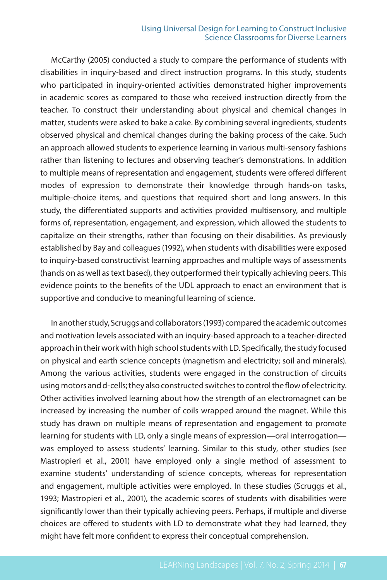McCarthy (2005) conducted a study to compare the performance of students with disabilities in inquiry-based and direct instruction programs. In this study, students who participated in inquiry-oriented activities demonstrated higher improvements in academic scores as compared to those who received instruction directly from the teacher. To construct their understanding about physical and chemical changes in matter, students were asked to bake a cake. By combining several ingredients, students observed physical and chemical changes during the baking process of the cake. Such an approach allowed students to experience learning in various multi-sensory fashions rather than listening to lectures and observing teacher's demonstrations. In addition to multiple means of representation and engagement, students were offered different modes of expression to demonstrate their knowledge through hands-on tasks, multiple-choice items, and questions that required short and long answers. In this study, the differentiated supports and activities provided multisensory, and multiple forms of, representation, engagement, and expression, which allowed the students to capitalize on their strengths, rather than focusing on their disabilities. As previously established by Bay and colleagues (1992), when students with disabilities were exposed to inquiry-based constructivist learning approaches and multiple ways of assessments (hands on as well as text based), they outperformed their typically achieving peers. This evidence points to the benefits of the UDL approach to enact an environment that is supportive and conducive to meaningful learning of science.

In another study, Scruggs and collaborators (1993) compared the academic outcomes and motivation levels associated with an inquiry-based approach to a teacher-directed approach in their work with high school students with LD. Specifically, the study focused on physical and earth science concepts (magnetism and electricity; soil and minerals). Among the various activities, students were engaged in the construction of circuits using motors and d-cells; they also constructed switches to control the flow of electricity. Other activities involved learning about how the strength of an electromagnet can be increased by increasing the number of coils wrapped around the magnet. While this study has drawn on multiple means of representation and engagement to promote learning for students with LD, only a single means of expression—oral interrogation was employed to assess students' learning. Similar to this study, other studies (see Mastropieri et al., 2001) have employed only a single method of assessment to examine students' understanding of science concepts, whereas for representation and engagement, multiple activities were employed. In these studies (Scruggs et al., 1993; Mastropieri et al., 2001), the academic scores of students with disabilities were significantly lower than their typically achieving peers. Perhaps, if multiple and diverse choices are offered to students with LD to demonstrate what they had learned, they might have felt more confident to express their conceptual comprehension.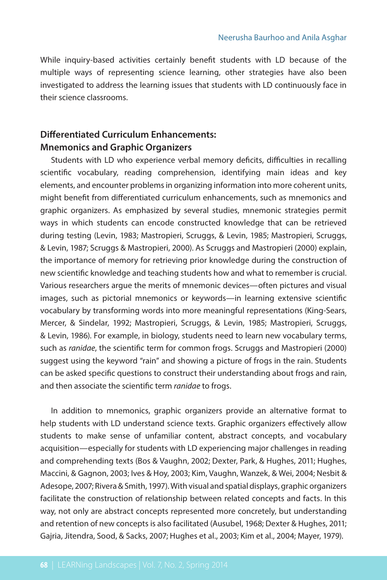While inquiry-based activities certainly benefit students with LD because of the multiple ways of representing science learning, other strategies have also been investigated to address the learning issues that students with LD continuously face in their science classrooms.

## **Differentiated Curriculum Enhancements: Mnemonics and Graphic Organizers**

Students with LD who experience verbal memory deficits, difficulties in recalling scientific vocabulary, reading comprehension, identifying main ideas and key elements, and encounter problems in organizing information into more coherent units, might benefit from differentiated curriculum enhancements, such as mnemonics and graphic organizers. As emphasized by several studies, mnemonic strategies permit ways in which students can encode constructed knowledge that can be retrieved during testing (Levin, 1983; Mastropieri, Scruggs, & Levin, 1985; Mastropieri, Scruggs, & Levin, 1987; Scruggs & Mastropieri, 2000). As Scruggs and Mastropieri (2000) explain, the importance of memory for retrieving prior knowledge during the construction of new scientific knowledge and teaching students how and what to remember is crucial. Various researchers argue the merits of mnemonic devices—often pictures and visual images, such as pictorial mnemonics or keywords—in learning extensive scientific vocabulary by transforming words into more meaningful representations (King-Sears, Mercer, & Sindelar, 1992; Mastropieri, Scruggs, & Levin, 1985; Mastropieri, Scruggs, & Levin, 1986). For example, in biology, students need to learn new vocabulary terms, such as *ranidae*, the scientific term for common frogs. Scruggs and Mastropieri (2000) suggest using the keyword "rain" and showing a picture of frogs in the rain. Students can be asked specific questions to construct their understanding about frogs and rain, and then associate the scientific term *ranidae* to frogs.

In addition to mnemonics, graphic organizers provide an alternative format to help students with LD understand science texts. Graphic organizers effectively allow students to make sense of unfamiliar content, abstract concepts, and vocabulary acquisition—especially for students with LD experiencing major challenges in reading and comprehending texts (Bos & Vaughn, 2002; Dexter, Park, & Hughes, 2011; Hughes, Maccini, & Gagnon, 2003; Ives & Hoy, 2003; Kim, Vaughn, Wanzek, & Wei, 2004; Nesbit & Adesope, 2007; Rivera & Smith, 1997). With visual and spatial displays, graphic organizers facilitate the construction of relationship between related concepts and facts. In this way, not only are abstract concepts represented more concretely, but understanding and retention of new concepts is also facilitated (Ausubel, 1968; Dexter & Hughes, 2011; Gajria, Jitendra, Sood, & Sacks, 2007; Hughes et al., 2003; Kim et al., 2004; Mayer, 1979).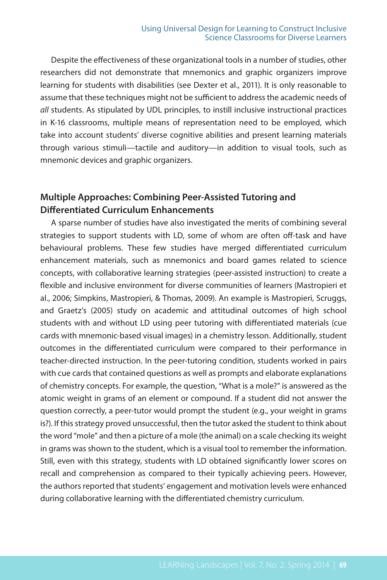Despite the effectiveness of these organizational tools in a number of studies, other researchers did not demonstrate that mnemonics and graphic organizers improve learning for students with disabilities (see Dexter et al., 2011). It is only reasonable to assume that these techniques might not be sufficient to address the academic needs of *all* students. As stipulated by UDL principles, to instill inclusive instructional practices in K-16 classrooms, multiple means of representation need to be employed, which take into account students' diverse cognitive abilities and present learning materials through various stimuli—tactile and auditory—in addition to visual tools, such as mnemonic devices and graphic organizers.

## **Multiple Approaches: Combining Peer-Assisted Tutoring and Differentiated Curriculum Enhancements**

A sparse number of studies have also investigated the merits of combining several strategies to support students with LD, some of whom are often off-task and have behavioural problems. These few studies have merged differentiated curriculum enhancement materials, such as mnemonics and board games related to science concepts, with collaborative learning strategies (peer-assisted instruction) to create a flexible and inclusive environment for diverse communities of learners (Mastropieri et al., 2006; Simpkins, Mastropieri, & Thomas, 2009). An example is Mastropieri, Scruggs, and Graetz's (2005) study on academic and attitudinal outcomes of high school students with and without LD using peer tutoring with differentiated materials (cue cards with mnemonic-based visual images) in a chemistry lesson. Additionally, student outcomes in the differentiated curriculum were compared to their performance in teacher-directed instruction. In the peer-tutoring condition, students worked in pairs with cue cards that contained questions as well as prompts and elaborate explanations of chemistry concepts. For example, the question, "What is a mole?" is answered as the atomic weight in grams of an element or compound. If a student did not answer the question correctly, a peer-tutor would prompt the student (e.g., your weight in grams is?). If this strategy proved unsuccessful, then the tutor asked the student to think about the word "mole" and then a picture of a mole (the animal) on a scale checking its weight in grams was shown to the student, which is a visual tool to remember the information. Still, even with this strategy, students with LD obtained significantly lower scores on recall and comprehension as compared to their typically achieving peers. However, the authors reported that students' engagement and motivation levels were enhanced during collaborative learning with the differentiated chemistry curriculum.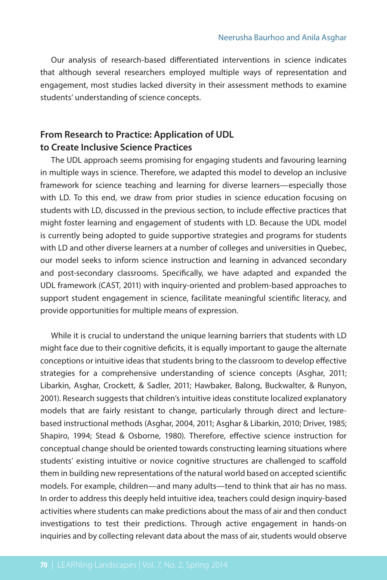Our analysis of research-based differentiated interventions in science indicates that although several researchers employed multiple ways of representation and engagement, most studies lacked diversity in their assessment methods to examine students' understanding of science concepts.

## **From Research to Practice: Application of UDL to Create Inclusive Science Practices**

The UDL approach seems promising for engaging students and favouring learning in multiple ways in science. Therefore, we adapted this model to develop an inclusive framework for science teaching and learning for diverse learners—especially those with LD. To this end, we draw from prior studies in science education focusing on students with LD, discussed in the previous section, to include effective practices that might foster learning and engagement of students with LD. Because the UDL model is currently being adopted to guide supportive strategies and programs for students with LD and other diverse learners at a number of colleges and universities in Quebec, our model seeks to inform science instruction and learning in advanced secondary and post-secondary classrooms. Specifically, we have adapted and expanded the UDL framework (CAST, 2011) with inquiry-oriented and problem-based approaches to support student engagement in science, facilitate meaningful scientific literacy, and provide opportunities for multiple means of expression.

While it is crucial to understand the unique learning barriers that students with LD might face due to their cognitive deficits, it is equally important to gauge the alternate conceptions or intuitive ideas that students bring to the classroom to develop effective strategies for a comprehensive understanding of science concepts (Asghar, 2011; Libarkin, Asghar, Crockett, & Sadler, 2011; Hawbaker, Balong, Buckwalter, & Runyon, 2001). Research suggests that children's intuitive ideas constitute localized explanatory models that are fairly resistant to change, particularly through direct and lecturebased instructional methods (Asghar, 2004, 2011; Asghar & Libarkin, 2010; Driver, 1985; Shapiro, 1994; Stead & Osborne, 1980). Therefore, effective science instruction for conceptual change should be oriented towards constructing learning situations where students' existing intuitive or novice cognitive structures are challenged to scaffold them in building new representations of the natural world based on accepted scientific models. For example, children—and many adults—tend to think that air has no mass. In order to address this deeply held intuitive idea, teachers could design inquiry-based activities where students can make predictions about the mass of air and then conduct investigations to test their predictions. Through active engagement in hands-on inquiries and by collecting relevant data about the mass of air, students would observe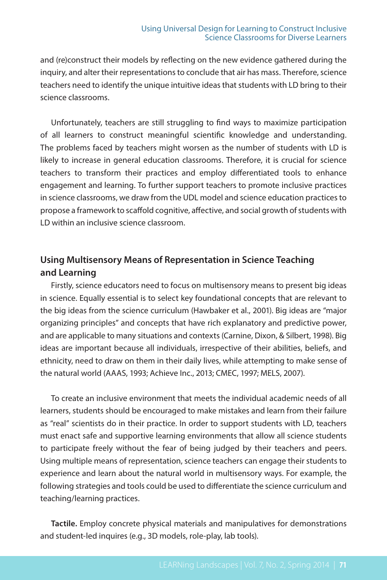and (re)construct their models by reflecting on the new evidence gathered during the inquiry, and alter their representations to conclude that air has mass. Therefore, science teachers need to identify the unique intuitive ideas that students with LD bring to their science classrooms.

Unfortunately, teachers are still struggling to find ways to maximize participation of all learners to construct meaningful scientific knowledge and understanding. The problems faced by teachers might worsen as the number of students with LD is likely to increase in general education classrooms. Therefore, it is crucial for science teachers to transform their practices and employ differentiated tools to enhance engagement and learning. To further support teachers to promote inclusive practices in science classrooms, we draw from the UDL model and science education practices to propose a framework to scaffold cognitive, affective, and social growth of students with LD within an inclusive science classroom.

## **Using Multisensory Means of Representation in Science Teaching and Learning**

Firstly, science educators need to focus on multisensory means to present big ideas in science. Equally essential is to select key foundational concepts that are relevant to the big ideas from the science curriculum (Hawbaker et al., 2001). Big ideas are "major organizing principles" and concepts that have rich explanatory and predictive power, and are applicable to many situations and contexts (Carnine, Dixon, & Silbert, 1998). Big ideas are important because all individuals, irrespective of their abilities, beliefs, and ethnicity, need to draw on them in their daily lives, while attempting to make sense of the natural world (AAAS, 1993; Achieve Inc., 2013; CMEC, 1997; MELS, 2007).

To create an inclusive environment that meets the individual academic needs of all learners, students should be encouraged to make mistakes and learn from their failure as "real" scientists do in their practice. In order to support students with LD, teachers must enact safe and supportive learning environments that allow all science students to participate freely without the fear of being judged by their teachers and peers. Using multiple means of representation, science teachers can engage their students to experience and learn about the natural world in multisensory ways. For example, the following strategies and tools could be used to differentiate the science curriculum and teaching/learning practices.

**Tactile.** Employ concrete physical materials and manipulatives for demonstrations and student-led inquires (e.g., 3D models, role-play, lab tools).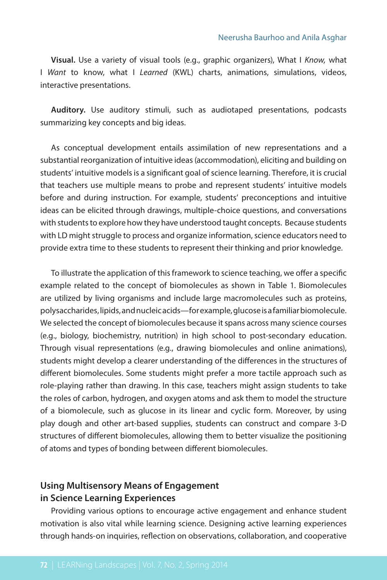**Visual.** Use a variety of visual tools (e.g., graphic organizers), What I *Know,* what I *Want* to know, what I *Learned* (KWL) charts, animations, simulations, videos, interactive presentations.

**Auditory.** Use auditory stimuli, such as audiotaped presentations, podcasts summarizing key concepts and big ideas.

As conceptual development entails assimilation of new representations and a substantial reorganization of intuitive ideas (accommodation), eliciting and building on students' intuitive models is a significant goal of science learning. Therefore, it is crucial that teachers use multiple means to probe and represent students' intuitive models before and during instruction. For example, students' preconceptions and intuitive ideas can be elicited through drawings, multiple-choice questions, and conversations with students to explore how they have understood taught concepts. Because students with LD might struggle to process and organize information, science educators need to provide extra time to these students to represent their thinking and prior knowledge.

To illustrate the application of this framework to science teaching, we offer a specific example related to the concept of biomolecules as shown in Table 1. Biomolecules are utilized by living organisms and include large macromolecules such as proteins, polysaccharides, lipids, and nucleic acids—for example, glucose is a familiar biomolecule. We selected the concept of biomolecules because it spans across many science courses (e.g., biology, biochemistry, nutrition) in high school to post-secondary education. Through visual representations (e.g., drawing biomolecules and online animations), students might develop a clearer understanding of the differences in the structures of different biomolecules. Some students might prefer a more tactile approach such as role-playing rather than drawing. In this case, teachers might assign students to take the roles of carbon, hydrogen, and oxygen atoms and ask them to model the structure of a biomolecule, such as glucose in its linear and cyclic form. Moreover, by using play dough and other art-based supplies, students can construct and compare 3-D structures of different biomolecules, allowing them to better visualize the positioning of atoms and types of bonding between different biomolecules.

## **Using Multisensory Means of Engagement in Science Learning Experiences**

Providing various options to encourage active engagement and enhance student motivation is also vital while learning science. Designing active learning experiences through hands-on inquiries, reflection on observations, collaboration, and cooperative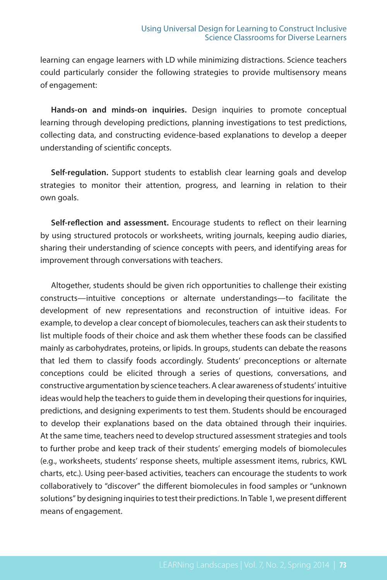learning can engage learners with LD while minimizing distractions. Science teachers could particularly consider the following strategies to provide multisensory means of engagement:

**Hands-on and minds-on inquiries.** Design inquiries to promote conceptual learning through developing predictions, planning investigations to test predictions, collecting data, and constructing evidence-based explanations to develop a deeper understanding of scientific concepts.

**Self-regulation.** Support students to establish clear learning goals and develop strategies to monitor their attention, progress, and learning in relation to their own goals.

**Self-reflection and assessment.** Encourage students to reflect on their learning by using structured protocols or worksheets, writing journals, keeping audio diaries, sharing their understanding of science concepts with peers, and identifying areas for improvement through conversations with teachers.

Altogether, students should be given rich opportunities to challenge their existing constructs—intuitive conceptions or alternate understandings—to facilitate the development of new representations and reconstruction of intuitive ideas. For example, to develop a clear concept of biomolecules, teachers can ask their students to list multiple foods of their choice and ask them whether these foods can be classified mainly as carbohydrates, proteins, or lipids. In groups, students can debate the reasons that led them to classify foods accordingly. Students' preconceptions or alternate conceptions could be elicited through a series of questions, conversations, and constructive argumentation by science teachers. A clear awareness of students' intuitive ideas would help the teachers to guide them in developing their questions for inquiries, predictions, and designing experiments to test them. Students should be encouraged to develop their explanations based on the data obtained through their inquiries. At the same time, teachers need to develop structured assessment strategies and tools to further probe and keep track of their students' emerging models of biomolecules (e.g., worksheets, students' response sheets, multiple assessment items, rubrics, KWL charts, etc.). Using peer-based activities, teachers can encourage the students to work collaboratively to "discover" the different biomolecules in food samples or "unknown solutions" by designing inquiries to test their predictions. In Table 1, we present different means of engagement.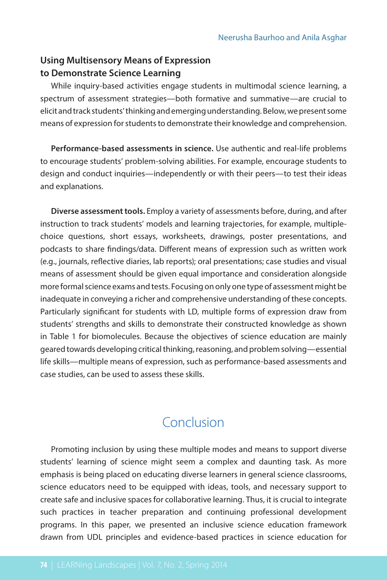## **Using Multisensory Means of Expression to Demonstrate Science Learning**

While inquiry-based activities engage students in multimodal science learning, a spectrum of assessment strategies—both formative and summative—are crucial to elicit and track students' thinking and emerging understanding. Below, we present some means of expression for students to demonstrate their knowledge and comprehension.

**Performance-based assessments in science.** Use authentic and real-life problems to encourage students' problem-solving abilities. For example, encourage students to design and conduct inquiries—independently or with their peers—to test their ideas and explanations.

**Diverse assessment tools.** Employ a variety of assessments before, during, and after instruction to track students' models and learning trajectories, for example, multiplechoice questions, short essays, worksheets, drawings, poster presentations, and podcasts to share findings/data. Different means of expression such as written work (e.g., journals, reflective diaries, lab reports); oral presentations; case studies and visual means of assessment should be given equal importance and consideration alongside more formal science exams and tests. Focusing on only one type of assessment might be inadequate in conveying a richer and comprehensive understanding of these concepts. Particularly significant for students with LD, multiple forms of expression draw from students' strengths and skills to demonstrate their constructed knowledge as shown in Table 1 for biomolecules. Because the objectives of science education are mainly geared towards developing critical thinking, reasoning, and problem solving—essential life skills—multiple means of expression, such as performance-based assessments and case studies, can be used to assess these skills.

## Conclusion

Promoting inclusion by using these multiple modes and means to support diverse students' learning of science might seem a complex and daunting task. As more emphasis is being placed on educating diverse learners in general science classrooms, science educators need to be equipped with ideas, tools, and necessary support to create safe and inclusive spaces for collaborative learning. Thus, it is crucial to integrate such practices in teacher preparation and continuing professional development programs. In this paper, we presented an inclusive science education framework drawn from UDL principles and evidence-based practices in science education for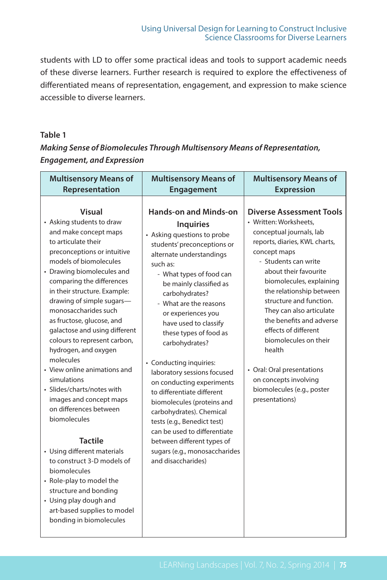students with LD to offer some practical ideas and tools to support academic needs of these diverse learners. Further research is required to explore the effectiveness of differentiated means of representation, engagement, and expression to make science accessible to diverse learners.

## **Table 1**

*Making Sense of Biomolecules Through Multisensory Means of Representation, Engagement, and Expression*

| <b>Multisensory Means of</b>                                                                                                                                                                                                                                                                                                                                                                                                                                                                                                                                                                                                                                                                                                                                                                                              | <b>Multisensory Means of</b>                                                                                                                                                                                                                                                                                                                                                                                                                                                                                                                                                                                                                                                            | <b>Multisensory Means of</b>                                                                                                                                                                                                                                                                                                                                                                                                                                                                         |
|---------------------------------------------------------------------------------------------------------------------------------------------------------------------------------------------------------------------------------------------------------------------------------------------------------------------------------------------------------------------------------------------------------------------------------------------------------------------------------------------------------------------------------------------------------------------------------------------------------------------------------------------------------------------------------------------------------------------------------------------------------------------------------------------------------------------------|-----------------------------------------------------------------------------------------------------------------------------------------------------------------------------------------------------------------------------------------------------------------------------------------------------------------------------------------------------------------------------------------------------------------------------------------------------------------------------------------------------------------------------------------------------------------------------------------------------------------------------------------------------------------------------------------|------------------------------------------------------------------------------------------------------------------------------------------------------------------------------------------------------------------------------------------------------------------------------------------------------------------------------------------------------------------------------------------------------------------------------------------------------------------------------------------------------|
| Representation                                                                                                                                                                                                                                                                                                                                                                                                                                                                                                                                                                                                                                                                                                                                                                                                            | <b>Engagement</b>                                                                                                                                                                                                                                                                                                                                                                                                                                                                                                                                                                                                                                                                       | <b>Expression</b>                                                                                                                                                                                                                                                                                                                                                                                                                                                                                    |
| Visual<br>• Asking students to draw<br>and make concept maps<br>to articulate their<br>preconceptions or intuitive<br>models of biomolecules<br>• Drawing biomolecules and<br>comparing the differences<br>in their structure. Example:<br>drawing of simple sugars-<br>monosaccharides such<br>as fructose, glucose, and<br>galactose and using different<br>colours to represent carbon,<br>hydrogen, and oxygen<br>molecules<br>• View online animations and<br>simulations<br>· Slides/charts/notes with<br>images and concept maps<br>on differences between<br>biomolecules<br><b>Tactile</b><br>• Using different materials<br>to construct 3-D models of<br>biomolecules<br>• Role-play to model the<br>structure and bonding<br>• Using play dough and<br>art-based supplies to model<br>bonding in biomolecules | <b>Hands-on and Minds-on</b><br><b>Inquiries</b><br>• Asking questions to probe<br>students' preconceptions or<br>alternate understandings<br>such as:<br>- What types of food can<br>be mainly classified as<br>carbohydrates?<br>- What are the reasons<br>or experiences you<br>have used to classify<br>these types of food as<br>carbohydrates?<br>• Conducting inquiries:<br>laboratory sessions focused<br>on conducting experiments<br>to differentiate different<br>biomolecules (proteins and<br>carbohydrates). Chemical<br>tests (e.g., Benedict test)<br>can be used to differentiate<br>between different types of<br>sugars (e.g., monosaccharides<br>and disaccharides) | <b>Diverse Assessment Tools</b><br>• Written: Worksheets,<br>conceptual journals, lab<br>reports, diaries, KWL charts,<br>concept maps<br>- Students can write<br>about their favourite<br>biomolecules, explaining<br>the relationship between<br>structure and function.<br>They can also articulate<br>the benefits and adverse<br>effects of different<br>biomolecules on their<br>health<br>• Oral: Oral presentations<br>on concepts involving<br>biomolecules (e.g., poster<br>presentations) |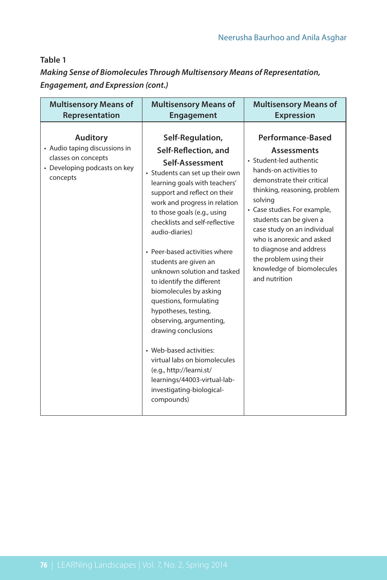## **Table 1**

## *Making Sense of Biomolecules Through Multisensory Means of Representation, Engagement, and Expression (cont.)*

| <b>Multisensory Means of</b>                                                                                        | <b>Multisensory Means of</b>                                                                                                                                                                                                                                                                                                                                                                                                                                                                                                                                                                                                                                                                              | <b>Multisensory Means of</b>                                                                                                                                                                                                                                                                                                                                                                     |
|---------------------------------------------------------------------------------------------------------------------|-----------------------------------------------------------------------------------------------------------------------------------------------------------------------------------------------------------------------------------------------------------------------------------------------------------------------------------------------------------------------------------------------------------------------------------------------------------------------------------------------------------------------------------------------------------------------------------------------------------------------------------------------------------------------------------------------------------|--------------------------------------------------------------------------------------------------------------------------------------------------------------------------------------------------------------------------------------------------------------------------------------------------------------------------------------------------------------------------------------------------|
| Representation                                                                                                      | <b>Engagement</b>                                                                                                                                                                                                                                                                                                                                                                                                                                                                                                                                                                                                                                                                                         | <b>Expression</b>                                                                                                                                                                                                                                                                                                                                                                                |
| <b>Auditory</b><br>• Audio taping discussions in<br>classes on concepts<br>• Developing podcasts on key<br>concepts | Self-Regulation,<br>Self-Reflection, and<br>Self-Assessment<br>• Students can set up their own<br>learning goals with teachers'<br>support and reflect on their<br>work and progress in relation<br>to those goals (e.g., using<br>checklists and self-reflective<br>audio-diaries)<br>• Peer-based activities where<br>students are given an<br>unknown solution and tasked<br>to identify the different<br>biomolecules by asking<br>questions, formulating<br>hypotheses, testing,<br>observing, argumenting,<br>drawing conclusions<br>• Web-based activities:<br>virtual labs on biomolecules<br>(e.g., http://learni.st/<br>learnings/44003-virtual-lab-<br>investigating-biological-<br>compounds) | Performance-Based<br><b>Assessments</b><br>• Student-led authentic<br>hands-on activities to<br>demonstrate their critical<br>thinking, reasoning, problem<br>solving<br>• Case studies. For example,<br>students can be given a<br>case study on an individual<br>who is anorexic and asked<br>to diagnose and address<br>the problem using their<br>knowledge of biomolecules<br>and nutrition |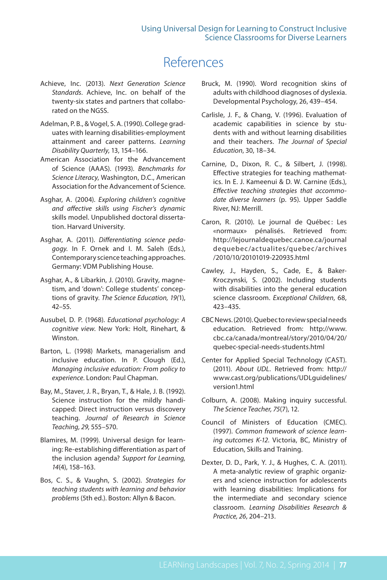## References

- Achieve, Inc. (2013). *Next Generation Science Standards*. Achieve, Inc. on behalf of the twenty-six states and partners that collaborated on the NGSS.
- Adelman, P. B., & Vogel, S. A. (1990). College graduates with learning disabilities-employment attainment and career patterns. *Learning Disability Quarterly*, 13, 154–166.
- American Association for the Advancement of Science (AAAS). (1993). *Benchmarks for Science Literacy*, Washington, D.C., American Association for the Advancement of Science.
- Asghar, A. (2004). *Exploring children's cognitive and affective skills using Fischer's dynamic* skills model. Unpublished doctoral dissertation. Harvard University.
- Asghar, A. (2011). *Differentiating science pedagogy.* In F. Ornek and I. M. Saleh (Eds.), Contemporary science teaching approaches. Germany: VDM Publishing House.
- Asghar, A., & Libarkin, J. (2010). Gravity, magnetism, and 'down': College students' conceptions of gravity. *The Science Education, 19(*1), 42–55.
- Ausubel, D. P. (1968). *Educational psychology: A cognitive view*. New York: Holt, Rinehart, & Winston.
- Barton, L. (1998) Markets, managerialism and inclusive education. In P. Clough (Ed.), *Managing inclusive education: From policy to experience*. London: Paul Chapman.
- Bay, M., Staver, J. R., Bryan, T., & Hale, J. B. (1992). Science instruction for the mildly handicapped: Direct instruction versus discovery teaching. *Journal of Research in Science Teaching, 29*, 555–570.
- Blamires, M. (1999). Universal design for learning: Re-establishing differentiation as part of the inclusion agenda? *Support for Learning, 14*(4), 158–163.
- Bos, C. S., & Vaughn, S. (2002). *Strategies for teaching students with learning and behavior problems* (5th ed.). Boston: Allyn & Bacon.
- Bruck, M. (1990). Word recognition skins of adults with childhood diagnoses of dyslexia. Developmental Psychology, 26, 439–454.
- Carlisle, J. F., & Chang, V. (1996). Evaluation of academic capabilities in science by students with and without learning disabilities and their teachers. *The Journal of Special Education*, 30, 18–34.
- Carnine, D., Dixon, R. C., & Silbert, J. (1998). Effective strategies for teaching mathematics. In E. J. Kameenui & D. W. Carnine (Eds.), *Effective teaching strategies that accommodate diverse learners* (p. 95). Upper Saddle River, NJ: Merrill.
- Caron, R. (2010). Le journal de Québec: Les «normaux» pénalisés. Retrieved from: http://lejournaldequebec.canoe.ca/journal dequebec/actualites/quebec/archives /2010/10/20101019-220935.html
- Cawley, J., Hayden, S., Cade, E., & Baker-Kroczynski, S. (2002). Including students with disabilities into the general education science classroom. *Exceptional Children*, 68, 423–435.
- CBC News. (2010). Quebec to review special needs education. Retrieved from: http://www. cbc.ca/canada/montreal/story/2010/04/20/ quebec-special-needs-students.html
- Center for Applied Special Technology (CAST). (2011). *About UDL*. Retrieved from: http:// www.cast.org/publications/UDLguidelines/ version1.html
- Colburn, A. (2008). Making inquiry successful. *The Science Teacher, 75*(7), 12.
- Council of Ministers of Education (CMEC). (1997). *Common framework of science learning outcomes K-12*. Victoria, BC, Ministry of Education, Skills and Training.
- Dexter, D. D., Park, Y. J., & Hughes, C. A. (2011). A meta-analytic review of graphic organizers and science instruction for adolescents with learning disabilities: Implications for the intermediate and secondary science classroom. *Learning Disabilities Research & Practice, 26*, 204–213.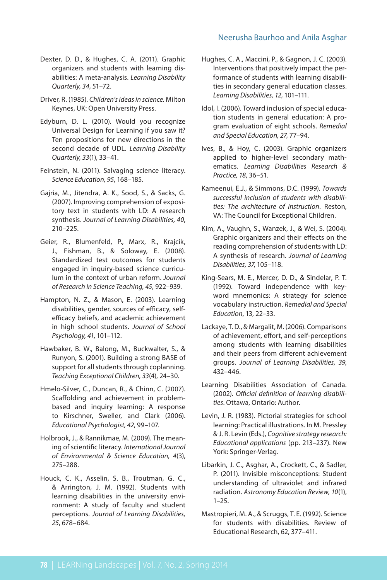#### Neerusha Baurhoo and Anila Asghar

- Dexter, D. D., & Hughes, C. A. (2011). Graphic organizers and students with learning disabilities: A meta-analysis. *Learning Disability Quarterly, 34*, 51–72.
- Driver, R. (1985). *Children's ideas in science.* Milton Keynes, UK: Open University Press.
- Edyburn, D. L. (2010). Would you recognize Universal Design for Learning if you saw it? Ten propositions for new directions in the second decade of UDL. *Learning Disability Quarterly, 33*(1), 33–41.
- Feinstein, N. (2011). Salvaging science literacy. *Science Education, 95*, 168–185.
- Gajria, M., Jitendra, A. K., Sood, S., & Sacks, G. (2007). Improving comprehension of expository text in students with LD: A research synthesis. *Journal of Learning Disabilities, 40*, 210–225.
- Geier, R., Blumenfeld, P., Marx, R., Krajcik, J., Fishman, B., & Soloway, E. (2008). Standardized test outcomes for students engaged in inquiry-based science curriculum in the context of urban reform. *Journal of Research in Science Teaching, 45*, 922–939.
- Hampton, N. Z., & Mason, E. (2003). Learning disabilities, gender, sources of efficacy, selfefficacy beliefs, and academic achievement in high school students. *Journal of School Psychology, 41*, 101–112.
- Hawbaker, B. W., Balong, M., Buckwalter, S., & Runyon, S. (2001). Building a strong BASE of support for all students through coplanning. *Teaching Exceptional Children, 33*(4), 24–30.
- Hmelo-Silver, C., Duncan, R., & Chinn, C. (2007). Scaffolding and achievement in problembased and inquiry learning: A response to Kirschner, Sweller, and Clark (2006). *Educational Psychologist, 42*, 99–107.
- Holbrook, J., & Rannikmae, M. (2009). The meaning of scientific literacy. *International Journal of Environmental & Science Education, 4*(3), 275–288.
- Houck, C. K., Asselin, S. B., Troutman, G. C., & Arrington, J. M. (1992). Students with learning disabilities in the university environment: A study of faculty and student perceptions. *Journal of Learning Disabilities, 25*, 678–684.
- Hughes, C. A., Maccini, P., & Gagnon, J. C. (2003). Interventions that positively impact the performance of students with learning disabilities in secondary general education classes. *Learning Disabilities, 12*, 101–111.
- Idol, I. (2006). Toward inclusion of special education students in general education: A program evaluation of eight schools. *Remedial and Special Education, 27*, 77–94.
- Ives, B., & Hoy, C. (2003). Graphic organizers applied to higher-level secondary mathematics. *Learning Disabilities Research & Practice, 18*, 36–51.
- Kameenui, E.J., & Simmons, D.C. (1999). *Towards successful inclusion of students with disabilities: The architecture of instruction*. Reston, VA: The Council for Exceptional Children.
- Kim, A., Vaughn, S., Wanzek, J., & Wei, S. (2004). Graphic organizers and their effects on the reading comprehension of students with LD: A synthesis of research. *Journal of Learning Disabilities, 37*, 105–118.
- King-Sears, M. E., Mercer, D. D., & Sindelar, P. T. (1992). Toward independence with keyword mnemonics: A strategy for science vocabulary instruction. *Remedial and Special Education*, 13, 22–33.
- Lackaye, T. D., & Margalit, M. (2006). Comparisons of achievement, effort, and self-perceptions among students with learning disabilities and their peers from different achievement groups. *Journal of Learning Disabilities, 39*, 432–446.
- Learning Disabilities Association of Canada. (2002). *Official definition of learning disabilities*. Ottawa, Ontario: Author.
- Levin, J. R. (1983). Pictorial strategies for school learning: Practical illustrations. In M. Pressley & J. R. Levin (Eds.), *Cognitive strategy research: Educational applications* (pp. 213–237). New York: Springer-Verlag.
- Libarkin, J. C., Asghar, A., Crockett, C., & Sadler, P. (2011). Invisible misconceptions: Student understanding of ultraviolet and infrared radiation. *Astronomy Education Review, 10*(1), 1–25.
- Mastropieri, M. A., & Scruggs, T. E. (1992). Science for students with disabilities. Review of Educational Research, 62, 377–411.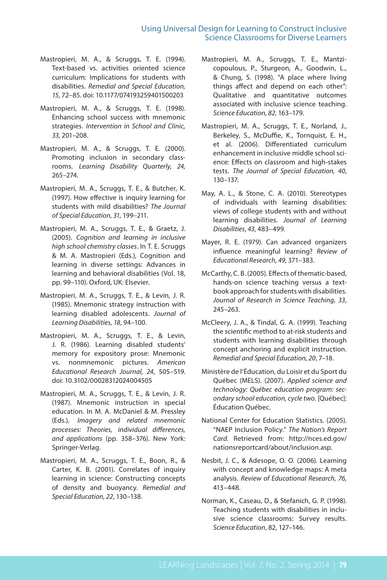- Mastropieri, M. A., & Scruggs, T. E. (1994). Text-based vs. activities oriented science curriculum: Implications for students with disabilities. *Remedial and Special Education, 15*, 72–85. doi: 10.1177/074193259401500203
- Mastropieri, M. A., & Scruggs, T. E. (1998). Enhancing school success with mnemonic strategies. *Intervention in School and Clinic, 33*, 201–208.
- Mastropieri, M. A., & Scruggs, T. E. (2000). Promoting inclusion in secondary classrooms. *Learning Disability Quarterly, 24,*  265–274.
- Mastropieri, M. A., Scruggs, T. E., & Butcher, K. (1997). How effective is inquiry learning for students with mild disabilities? *The Journal of Special Education, 31*, 199–211.
- Mastropieri, M. A., Scruggs, T. E., & Graetz, J. (2005). *Cognition and learning in inclusive high school chemistry classes*. In T. E. Scruggs & M. A. Mastropieri (Eds.), Cognition and learning in diverse settings: Advances in learning and behavioral disabilities (Vol. 18, pp. 99–110). Oxford, UK: Elsevier.
- Mastropieri, M. A., Scruggs, T. E., & Levin, J. R. (1985). Mnemonic strategy instruction with learning disabled adolescents. *Journal of Learning Disabilities, 18*, 94–100.
- Mastropieri, M. A., Scruggs, T. E., & Levin, J. R. (1986). Learning disabled students' memory for expository prose: Mnemonic vs. nonmnemonic pictures. *American Educational Research Journal, 24*, 505–519. doi: 10.3102/00028312024004505
- Mastropieri, M. A., Scruggs, T. E., & Levin, J. R. (1987). Mnemonic instruction in special education. In M. A. McDaniel & M. Pressley (Eds.), *Imagery and related mnemonic processes: Theories, individual differences, and applications* (pp. 358–376). New York: Springer-Verlag.
- Mastropieri, M. A., Scruggs, T. E., Boon, R., & Carter, K. B. (2001). Correlates of inquiry learning in science: Constructing concepts of density and buoyancy. *Remedial and Special Education, 22*, 130–138.
- Mastropieri, M. A., Scruggs, T. E., Mantzicopoulous, P., Sturgeon, A., Goodwin, L., & Chung, S. (1998). "A place where living things affect and depend on each other": Qualitative and quantitative outcomes associated with inclusive science teaching. *Science Education, 82*, 163–179.
- Mastropieri, M. A., Scruggs, T. E., Norland, J., Berkeley, S., McDuffie, K., Tornquist, E. H., et al. (2006). Differentiated curriculum enhancement in inclusive middle school science: Effects on classroom and high-stakes tests. *The Journal of Special Education, 40*, 130–137.
- May, A. L., & Stone, C. A. (2010). Stereotypes of individuals with learning disabilities: views of college students with and without learning disabilities. *Journal of Learning Disabilities*, *43*, 483–499.
- Mayer, R. E. (1979). Can advanced organizers influence meaningful learning? *Review of Educational Research, 49*, 371–383.
- McCarthy, C. B. (2005). Effects of thematic-based, hands-on science teaching versus a textbook approach for students with disabilities. *Journal of Research in Science Teaching, 33*, 245–263.
- McCleery, J. A., & Tindal, G. A. (1999). Teaching the scientific method to at-risk students and students with learning disabilities through concept anchoring and explicit instruction. *Remedial and Special Education, 20*, 7–18.
- Ministère de l'Éducation, du Loisir et du Sport du Québec (MELS). (2007). *Applied science and technology: Québec education program: secondary school education, cycle two.* [Québec]: Éducation Québec.
- National Center for Education Statistics. (2005). "NAEP Inclusion Policy." *The Nation's Report Card*. Retrieved from: http://nces.ed.gov/ nationsreportcard/about/inclusion.asp.
- Nesbit, J. C., & Adesope, O. O. (2006). Learning with concept and knowledge maps: A meta analysis. *Review of Educational Research, 76,* 413–448.
- Norman, K., Caseau, D., & Stefanich, G. P. (1998). Teaching students with disabilities in inclusive science classrooms: Survey results. *Science Education*, 82, 127–146.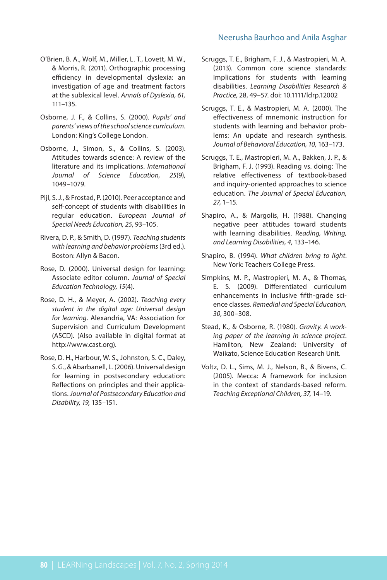#### Neerusha Baurhoo and Anila Asghar

- O'Brien, B. A., Wolf, M., Miller, L. T., Lovett, M. W., & Morris, R. (2011). Orthographic processing efficiency in developmental dyslexia: an investigation of age and treatment factors at the sublexical level. *Annals of Dyslexia, 61,*  111–135.
- Osborne, J. F., & Collins, S. (2000). *Pupils' and parents' views of the school science curriculum*. London: King's College London.
- Osborne, J., Simon, S., & Collins, S. (2003). Attitudes towards science: A review of the literature and its implications. *International Journal of Science Education, 25*(9), 1049–1079.
- Pijl, S. J., & Frostad, P. (2010). Peer acceptance and self-concept of students with disabilities in regular education. *European Journal of Special Needs Education, 25*, 93–105.
- Rivera, D. P., & Smith, D. (1997). *Teaching students with learning and behavior problems* (3rd ed.). Boston: Allyn & Bacon.
- Rose, D. (2000). Universal design for learning: Associate editor column. *Journal of Special Education Technology, 15*(4).
- Rose, D. H., & Meyer, A. (2002). *Teaching every student in the digital age: Universal design for learning*. Alexandria, VA: Association for Supervision and Curriculum Development (ASCD). (Also available in digital format at http://www.cast.org).
- Rose, D. H., Harbour, W. S., Johnston, S. C., Daley, S. G., & Abarbanell, L. (2006). Universal design for learning in postsecondary education: Reflections on principles and their applications. *Journal of Postsecondary Education and Disability, 19,* 135–151.
- Scruggs, T. E., Brigham, F. J., & Mastropieri, M. A. (2013). Common core science standards: Implications for students with learning disabilities. *Learning Disabilities Research & Practice*, 28, 49–57. doi: 10.1111/ldrp.12002
- Scruggs, T. E., & Mastropieri, M. A. (2000). The effectiveness of mnemonic instruction for students with learning and behavior problems: An update and research synthesis. *Journal of Behavioral Education, 10*, 163–173.
- Scruggs, T. E., Mastropieri, M. A., Bakken, J. P., & Brigham, F. J. (1993). Reading vs. doing: The relative effectiveness of textbook-based and inquiry-oriented approaches to science education. *The Journal of Special Education, 27*, 1–15.
- Shapiro, A., & Margolis, H. (1988). Changing negative peer attitudes toward students with learning disabilities. *Reading, Writing, and Learning Disabilities, 4*, 133–146.
- Shapiro, B. (1994). *What children bring to light*. New York: Teachers College Press.
- Simpkins, M. P., Mastropieri, M. A., & Thomas, E. S. (2009). Differentiated curriculum enhancements in inclusive fifth-grade science classes. *Remedial and Special Education, 30*, 300–308.
- Stead, K., & Osborne, R. (1980). *Gravity. A working paper of the learning in science project*. Hamilton, New Zealand: University of Waikato, Science Education Research Unit.
- Voltz, D. L., Sims, M. J., Nelson, B., & Bivens, C. (2005). Mecca: A framework for inclusion in the context of standards-based reform. *Teaching Exceptional Children, 37*, 14–19.